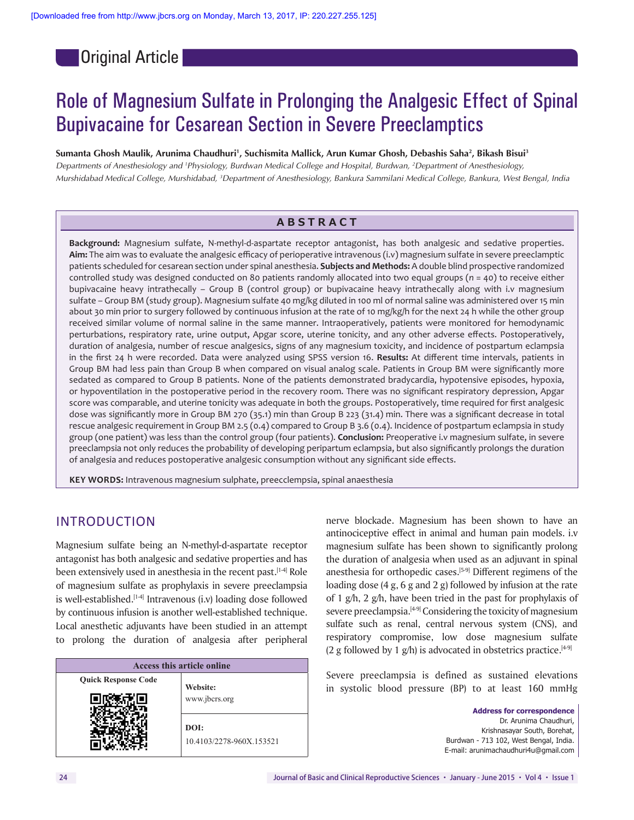Original Article

# Role of Magnesium Sulfate in Prolonging the Analgesic Effect of Spinal Bupivacaine for Cesarean Section in Severe Preeclamptics

Sumanta Ghosh Maulik, Arunima Chaudhuri', Suchismita Mallick, Arun Kumar Ghosh, Debashis Saha<sup>2</sup>, Bikash Bisui<sup>3</sup>

*Departments of Anesthesiology and 1 Physiology, Burdwan Medical College and Hospital, Burdwan, 2 Department of Anesthesiology, Murshidabad Medical College, Murshidabad, 3 Department of Anesthesiology, Bankura Sammilani Medical College, Bankura, West Bengal, India*

# **ABSTRACT**

**Background:** Magnesium sulfate, N‑methyl‑d‑aspartate receptor antagonist, has both analgesic and sedative properties. **Aim:** The aim was to evaluate the analgesic efficacy of perioperative intravenous (i.v) magnesium sulfate in severe preeclamptic patients scheduled for cesarean section under spinal anesthesia. **Subjects and Methods:** A double blind prospective randomized controlled study was designed conducted on 80 patients randomly allocated into two equal groups (*n* = 40) to receive either bupivacaine heavy intrathecally – Group B (control group) or bupivacaine heavy intrathecally along with i.v magnesium sulfate – Group BM (study group). Magnesium sulfate 40 mg/kg diluted in 100 ml of normal saline was administered over 15 min about 30 min prior to surgery followed by continuous infusion at the rate of 10 mg/kg/h for the next 24 h while the other group received similar volume of normal saline in the same manner. Intraoperatively, patients were monitored for hemodynamic perturbations, respiratory rate, urine output, Apgar score, uterine tonicity, and any other adverse effects. Postoperatively, duration of analgesia, number of rescue analgesics, signs of any magnesium toxicity, and incidence of postpartum eclampsia in the first 24 h were recorded. Data were analyzed using SPSS version 16. **Results:** At different time intervals, patients in Group BM had less pain than Group B when compared on visual analog scale. Patients in Group BM were significantly more sedated as compared to Group B patients. None of the patients demonstrated bradycardia, hypotensive episodes, hypoxia, or hypoventilation in the postoperative period in the recovery room. There was no significant respiratory depression, Apgar score was comparable, and uterine tonicity was adequate in both the groups. Postoperatively, time required for first analgesic dose was significantly more in Group BM 270 (35.1) min than Group B 223 (31.4) min. There was a significant decrease in total rescue analgesic requirement in Group BM 2.5 (0.4) compared to Group B 3.6 (0.4). Incidence of postpartum eclampsia in study group (one patient) was less than the control group (four patients). **Conclusion:** Preoperative i.v magnesium sulfate, in severe preeclampsia not only reduces the probability of developing peripartum eclampsia, but also significantly prolongs the duration of analgesia and reduces postoperative analgesic consumption without any significant side effects.

**KEY WORDS:** Intravenous magnesium sulphate, preecclempsia, spinal anaesthesia

# INTRODUCTION

Magnesium sulfate being an N-methyl-d-aspartate receptor antagonist has both analgesic and sedative properties and has been extensively used in anesthesia in the recent past.[1-4] Role of magnesium sulfate as prophylaxis in severe preeclampsia is well-established.<sup>[1-4]</sup> Intravenous (i.v) loading dose followed by continuous infusion is another well-established technique. Local anesthetic adjuvants have been studied in an attempt to prolong the duration of analgesia after peripheral

| Access this article online |                                  |  |
|----------------------------|----------------------------------|--|
| <b>Quick Response Code</b> | Website:                         |  |
|                            | www.jbcrs.org                    |  |
|                            | DOI:<br>10.4103/2278-960X.153521 |  |

nerve blockade. Magnesium has been shown to have an antinociceptive effect in animal and human pain models. i.v magnesium sulfate has been shown to significantly prolong the duration of analgesia when used as an adjuvant in spinal anesthesia for orthopedic cases.<sup>[5-9]</sup> Different regimens of the loading dose (4 g, 6 g and 2 g) followed by infusion at the rate of 1 g/h, 2 g/h, have been tried in the past for prophylaxis of severe preeclampsia.<sup>[49]</sup> Considering the toxicity of magnesium sulfate such as renal, central nervous system (CNS), and respiratory compromise, low dose magnesium sulfate (2 g followed by 1 g/h) is advocated in obstetrics practice.<sup>[49]</sup>

Severe preeclampsia is defined as sustained elevations in systolic blood pressure (BP) to at least 160 mmHg

> **Address for correspondence** Dr. Arunima Chaudhuri, Krishnasayar South, Borehat, Burdwan ‑ 713 102, West Bengal, India. E‑mail: arunimachaudhuri4u@gmail.com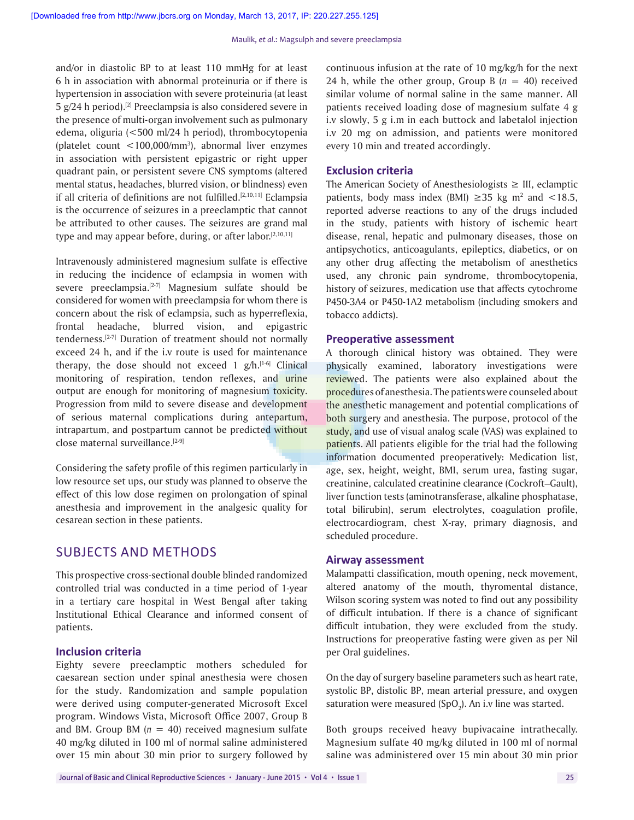and/or in diastolic BP to at least 110 mmHg for at least 6 h in association with abnormal proteinuria or if there is hypertension in association with severe proteinuria (at least 5  $g/24$  h period).<sup>[2]</sup> Preeclampsia is also considered severe in the presence of multi-organ involvement such as pulmonary edema, oliguria (<500 ml/24 h period), thrombocytopenia (platelet count  $\langle 100,000 \rangle$ mm<sup>3</sup>), abnormal liver enzymes in association with persistent epigastric or right upper quadrant pain, or persistent severe CNS symptoms (altered mental status, headaches, blurred vision, or blindness) even if all criteria of definitions are not fulfilled. $[2,10,11]$  Eclampsia is the occurrence of seizures in a preeclamptic that cannot be attributed to other causes. The seizures are grand mal type and may appear before, during, or after labor. $[2,10,11]$ 

Intravenously administered magnesium sulfate is effective in reducing the incidence of eclampsia in women with severe preeclampsia.<sup>[2-7]</sup> Magnesium sulfate should be considered for women with preeclampsia for whom there is concern about the risk of eclampsia, such as hyperreflexia, frontal headache, blurred vision, and epigastric tenderness.[2‑7] Duration of treatment should not normally exceed 24 h, and if the i.v route is used for maintenance therapy, the dose should not exceed 1  $g/h$ .<sup>[1-6]</sup> Clinical monitoring of respiration, tendon reflexes, and urine output are enough for monitoring of magnesium toxicity. Progression from mild to severe disease and development of serious maternal complications during antepartum, intrapartum, and postpartum cannot be predicted without close maternal surveillance.[2‑9]

Considering the safety profile of this regimen particularly in low resource set ups, our study was planned to observe the effect of this low dose regimen on prolongation of spinal anesthesia and improvement in the analgesic quality for cesarean section in these patients.

# SUBJECTS AND METHODS

This prospective cross‑sectional double blinded randomized controlled trial was conducted in a time period of 1‑year in a tertiary care hospital in West Bengal after taking Institutional Ethical Clearance and informed consent of patients.

#### **Inclusion criteria**

Eighty severe preeclamptic mothers scheduled for caesarean section under spinal anesthesia were chosen for the study. Randomization and sample population were derived using computer-generated Microsoft Excel program. Windows Vista, Microsoft Office 2007, Group B and BM. Group BM  $(n = 40)$  received magnesium sulfate 40 mg/kg diluted in 100 ml of normal saline administered over 15 min about 30 min prior to surgery followed by

continuous infusion at the rate of 10 mg/kg/h for the next 24 h, while the other group, Group B  $(n = 40)$  received similar volume of normal saline in the same manner. All patients received loading dose of magnesium sulfate 4 g i.v slowly, 5 g i.m in each buttock and labetalol injection i.v 20 mg on admission, and patients were monitored every 10 min and treated accordingly.

#### **Exclusion criteria**

The American Society of Anesthesiologists  $\geq$  III, eclamptic patients, body mass index (BMI) ≥35 kg m<sup>2</sup> and <18.5, reported adverse reactions to any of the drugs included in the study, patients with history of ischemic heart disease, renal, hepatic and pulmonary diseases, those on antipsychotics, anticoagulants, epileptics, diabetics, or on any other drug affecting the metabolism of anesthetics used, any chronic pain syndrome, thrombocytopenia, history of seizures, medication use that affects cytochrome P450‑3A4 or P450‑1A2 metabolism (including smokers and tobacco addicts).

#### **Preoperative assessment**

A thorough clinical history was obtained. They were physically examined, laboratory investigations were reviewed. The patients were also explained about the procedures of anesthesia. The patients were counseled about the anesthetic management and potential complications of both surgery and anesthesia. The purpose, protocol of the study, and use of visual analog scale (VAS) was explained to patients. All patients eligible for the trial had the following information documented preoperatively: Medication list, age, sex, height, weight, BMI, serum urea, fasting sugar, creatinine, calculated creatinine clearance (Cockroft–Gault), liver function tests (aminotransferase, alkaline phosphatase, total bilirubin), serum electrolytes, coagulation profile, electrocardiogram, chest X‑ray, primary diagnosis, and scheduled procedure.

#### **Airway assessment**

Malampatti classification, mouth opening, neck movement, altered anatomy of the mouth, thyromental distance, Wilson scoring system was noted to find out any possibility of difficult intubation. If there is a chance of significant difficult intubation, they were excluded from the study. Instructions for preoperative fasting were given as per Nil per Oral guidelines.

On the day of surgery baseline parameters such as heart rate, systolic BP, distolic BP, mean arterial pressure, and oxygen saturation were measured (SpO $_2$ ). An i.v line was started.

Both groups received heavy bupivacaine intrathecally. Magnesium sulfate 40 mg/kg diluted in 100 ml of normal saline was administered over 15 min about 30 min prior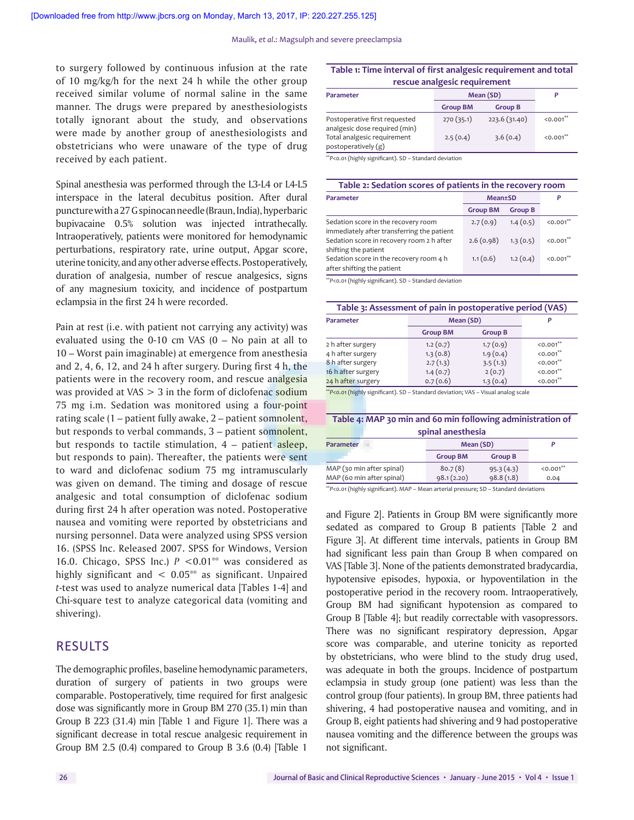to surgery followed by continuous infusion at the rate of 10 mg/kg/h for the next 24 h while the other group received similar volume of normal saline in the same manner. The drugs were prepared by anesthesiologists totally ignorant about the study, and observations were made by another group of anesthesiologists and obstetricians who were unaware of the type of drug received by each patient.

Spinal anesthesia was performed through the L3-L4 or L4-L5 interspace in the lateral decubitus position. After dural puncture with a 27 G spinocan needle (Braun, India), hyperbaric bupivacaine 0.5% solution was injected intrathecally. Intraoperatively, patients were monitored for hemodynamic perturbations, respiratory rate, urine output, Apgar score, uterine tonicity, and any other adverse effects. Postoperatively, duration of analgesia, number of rescue analgesics, signs of any magnesium toxicity, and incidence of postpartum eclampsia in the first 24 h were recorded.

Pain at rest (i.e. with patient not carrying any activity) was evaluated using the 0-10 cm VAS (0 – No pain at all to 10 – Worst pain imaginable) at emergence from anesthesia and 2, 4, 6, 12, and 24 h after surgery. During first 4 h, the patients were in the recovery room, and rescue analgesia was provided at VAS  $> 3$  in the form of diclofenac sodium 75 mg i.m. Sedation was monitored using a four‑point rating scale (1 – patient fully awake, 2 – patient somnolent, but responds to verbal commands, 3 – patient somnolent, but responds to tactile stimulation,  $4$  – patient asleep, but responds to pain). Thereafter, the patients were sent to ward and diclofenac sodium 75 mg intramuscularly was given on demand. The timing and dosage of rescue analgesic and total consumption of diclofenac sodium during first 24 h after operation was noted. Postoperative nausea and vomiting were reported by obstetricians and nursing personnel. Data were analyzed using SPSS version 16. (SPSS Inc. Released 2007. SPSS for Windows, Version 16.0. Chicago, SPSS Inc.) *P* <0.01\*\* was considered as highly significant and  $\langle 0.05**$  as significant. Unpaired *t*‑test was used to analyze numerical data [Tables 1‑4] and Chi‑square test to analyze categorical data (vomiting and shivering).

### RESULTS

The demographic profiles, baseline hemodynamic parameters, duration of surgery of patients in two groups were comparable. Postoperatively, time required for first analgesic dose was significantly more in Group BM 270 (35.1) min than Group B 223 (31.4) min [Table 1 and Figure 1]. There was a significant decrease in total rescue analgesic requirement in Group BM 2.5 (0.4) compared to Group B 3.6 (0.4) [Table 1

#### **Table 1: Time interval of first analgesic requirement and total rescue analgesic requirement**

| Parameter                                                      | Mean (SD)       |                | Р           |
|----------------------------------------------------------------|-----------------|----------------|-------------|
|                                                                | <b>Group BM</b> | <b>Group B</b> |             |
| Postoperative first requested<br>analgesic dose required (min) | 270(35.1)       | 223.6(31.40)   | $<0.001***$ |
| Total analgesic requirement<br>postoperatively (g)             | 2.5(0.4)        | 3.6(0.4)       | $50.001$ ** |

\*\**P*<0.01 (highly significant). SD – Standard deviation

| Table 2: Sedation scores of patients in the recovery room                         |                 |                |              |
|-----------------------------------------------------------------------------------|-----------------|----------------|--------------|
| <b>Mean</b> <sup>t</sup> SD<br>Parameter                                          |                 |                |              |
|                                                                                   | <b>Group BM</b> | <b>Group B</b> |              |
| Sedation score in the recovery room<br>immediately after transferring the patient | 2.7(0.9)        | 1.4(0.5)       | $< 0.001$ ** |
| Sedation score in recovery room 2 h after<br>shifting the patient                 | 2.6(0.98)       | 1.3(0.5)       | $0.001$ **   |
| Sedation score in the recovery room 4 h<br>after shifting the patient             | 1.1(0.6)        | 1.2(0.4)       | $<0.001**$   |

\*\**P*<0.01 (highly significant). SD – Standard deviation

| Table 3: Assessment of pain in postoperative period (VAS) |                 |                |              |
|-----------------------------------------------------------|-----------------|----------------|--------------|
| Parameter                                                 | Mean (SD)       |                | P            |
|                                                           | <b>Group BM</b> | <b>Group B</b> |              |
| 2 h after surgery                                         | 1.2(0.7)        | 1.7(0.9)       | $< 0.001$ ** |
| 4 h after surgery                                         | 1.3(0.8)        | 1.9(0.4)       | $< 0.001$ ** |
| 8 h after surgery                                         | 2.7(1.3)        | 3.5(1.3)       | $<0.001$ **  |
| 16 h after surgery                                        | 1.4(0.7)        | 2(0.7)         | $<0.001***$  |
| 24 h after surgery                                        | 0.7(0.6)        | 1.3(0.4)       | $<0.001***$  |

\*P<0.01 (highly significant). SD - Standard deviation; VAS - Visual analog scale

|                   | Table 4: MAP 30 min and 60 min following administration of |  |
|-------------------|------------------------------------------------------------|--|
| spinal anesthesia |                                                            |  |

| Parameter                                              | Mean (SD)             |                        |                      |
|--------------------------------------------------------|-----------------------|------------------------|----------------------|
|                                                        | <b>Group BM</b>       | <b>Group B</b>         |                      |
| MAP (30 min after spinal)<br>MAP (60 min after spinal) | 80.7(8)<br>98.1(2.20) | 95.3(4.3)<br>98.8(1.8) | $< 0.001$ **<br>0.04 |

\*\**P*<0.01 (highly significant). MAP – Mean arterial pressure; SD – Standard deviations

and Figure 2]. Patients in Group BM were significantly more sedated as compared to Group B patients [Table 2 and Figure 3]. At different time intervals, patients in Group BM had significant less pain than Group B when compared on VAS [Table 3]. None of the patients demonstrated bradycardia, hypotensive episodes, hypoxia, or hypoventilation in the postoperative period in the recovery room. Intraoperatively, Group BM had significant hypotension as compared to Group B [Table 4]; but readily correctable with vasopressors. There was no significant respiratory depression, Apgar score was comparable, and uterine tonicity as reported by obstetricians, who were blind to the study drug used, was adequate in both the groups. Incidence of postpartum eclampsia in study group (one patient) was less than the control group (four patients). In group BM, three patients had shivering, 4 had postoperative nausea and vomiting, and in Group B, eight patients had shivering and 9 had postoperative nausea vomiting and the difference between the groups was not significant.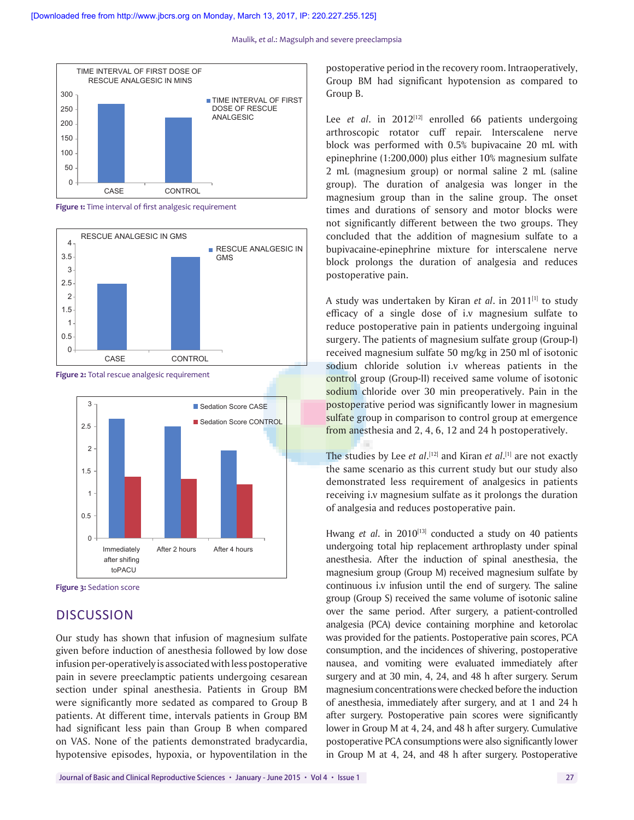Maulik, *et al*.: Magsulph and severe preeclampsia



**Figure 1:** Time interval of first analgesic requirement



**Figure 2:** Total rescue analgesic requirement



**Figure 3:** Sedation score

# **DISCUSSION**

Our study has shown that infusion of magnesium sulfate given before induction of anesthesia followed by low dose infusion per‑operatively is associated with less postoperative pain in severe preeclamptic patients undergoing cesarean section under spinal anesthesia. Patients in Group BM were significantly more sedated as compared to Group B patients. At different time, intervals patients in Group BM had significant less pain than Group B when compared on VAS. None of the patients demonstrated bradycardia, hypotensive episodes, hypoxia, or hypoventilation in the postoperative period in the recovery room. Intraoperatively, Group BM had significant hypotension as compared to Group B.

Lee *et al.* in 2012<sup>[12]</sup> enrolled 66 patients undergoing arthroscopic rotator cuff repair. Interscalene nerve block was performed with 0.5% bupivacaine 20 mL with epinephrine (1:200,000) plus either 10% magnesium sulfate 2 mL (magnesium group) or normal saline 2 mL (saline group). The duration of analgesia was longer in the magnesium group than in the saline group. The onset times and durations of sensory and motor blocks were not significantly different between the two groups. They concluded that the addition of magnesium sulfate to a bupivacaine‑epinephrine mixture for interscalene nerve block prolongs the duration of analgesia and reduces postoperative pain.

A study was undertaken by Kiran *et al*. in 2011[1] to study efficacy of a single dose of i.v magnesium sulfate to reduce postoperative pain in patients undergoing inguinal surgery. The patients of magnesium sulfate group (Group‑I) received magnesium sulfate 50 mg/kg in 250 ml of isotonic sodium chloride solution i.v whereas patients in the control group (Group‑II) received same volume of isotonic sodium chloride over 30 min preoperatively. Pain in the postoperative period was significantly lower in magnesium sulfate group in comparison to control group at emergence from anesthesia and 2, 4, 6, 12 and 24 h postoperatively.

The studies by Lee *et al*.<sup>[12]</sup> and Kiran *et al*.<sup>[1]</sup> are not exactly the same scenario as this current study but our study also demonstrated less requirement of analgesics in patients receiving i.v magnesium sulfate as it prolongs the duration of analgesia and reduces postoperative pain.

Hwang *et al.* in 2010<sup>[13]</sup> conducted a study on 40 patients undergoing total hip replacement arthroplasty under spinal anesthesia. After the induction of spinal anesthesia, the magnesium group (Group M) received magnesium sulfate by continuous i.v infusion until the end of surgery. The saline group (Group S) received the same volume of isotonic saline over the same period. After surgery, a patient-controlled analgesia (PCA) device containing morphine and ketorolac was provided for the patients. Postoperative pain scores, PCA consumption, and the incidences of shivering, postoperative nausea, and vomiting were evaluated immediately after surgery and at 30 min, 4, 24, and 48 h after surgery. Serum magnesium concentrations were checked before the induction of anesthesia, immediately after surgery, and at 1 and 24 h after surgery. Postoperative pain scores were significantly lower in Group M at 4, 24, and 48 h after surgery. Cumulative postoperative PCA consumptions were also significantly lower in Group M at 4, 24, and 48 h after surgery. Postoperative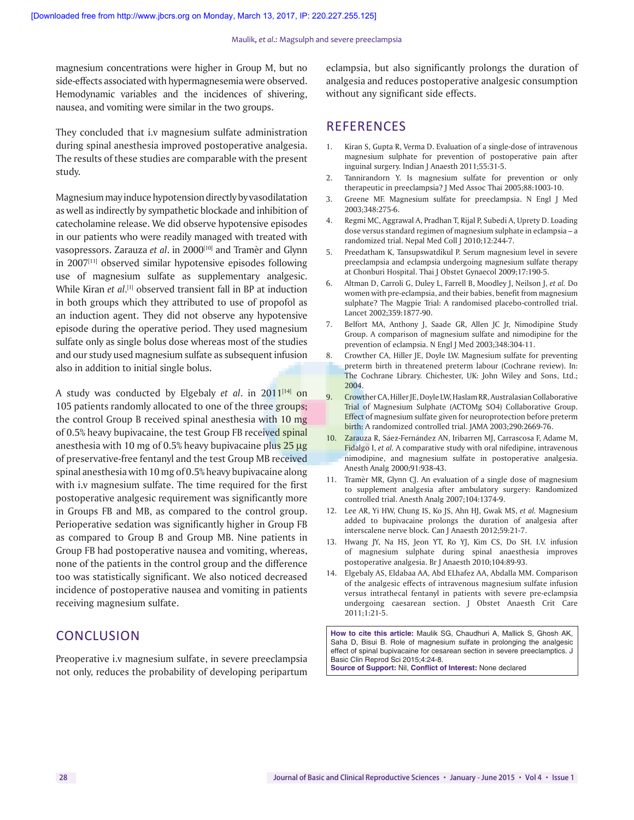magnesium concentrations were higher in Group M, but no side-effects associated with hypermagnesemia were observed. Hemodynamic variables and the incidences of shivering, nausea, and vomiting were similar in the two groups.

They concluded that i.v magnesium sulfate administration during spinal anesthesia improved postoperative analgesia. The results of these studies are comparable with the present study.

Magnesium may induce hypotension directly by vasodilatation as well as indirectly by sympathetic blockade and inhibition of catecholamine release. We did observe hypotensive episodes in our patients who were readily managed with treated with vasopressors. Zarauza *et al.* in 2000<sup>[10]</sup> and Tramèr and Glynn in  $2007^{[11]}$  observed similar hypotensive episodes following use of magnesium sulfate as supplementary analgesic. While Kiran *et al*. [1] observed transient fall in BP at induction in both groups which they attributed to use of propofol as an induction agent. They did not observe any hypotensive episode during the operative period. They used magnesium sulfate only as single bolus dose whereas most of the studies and our study used magnesium sulfate as subsequent infusion also in addition to initial single bolus.

A study was conducted by Elgebaly *et al*. in 2011[14] on 105 patients randomly allocated to one of the three groups; the control Group B received spinal anesthesia with 10 mg of 0.5% heavy bupivacaine, the test Group FB received spinal anesthesia with 10 mg of 0.5% heavy bupivacaine plus  $25 \mu g$ of preservative‑free fentanyl and the test Group MB received spinal anesthesia with 10mg of 0.5% heavy bupivacaine along with i.v magnesium sulfate. The time required for the first postoperative analgesic requirement was significantly more in Groups FB and MB, as compared to the control group. Perioperative sedation was significantly higher in Group FB as compared to Group B and Group MB. Nine patients in Group FB had postoperative nausea and vomiting, whereas, none of the patients in the control group and the difference too was statistically significant. We also noticed decreased incidence of postoperative nausea and vomiting in patients receiving magnesium sulfate.

# **CONCLUSION**

Preoperative i.v magnesium sulfate, in severe preeclampsia not only, reduces the probability of developing peripartum eclampsia, but also significantly prolongs the duration of analgesia and reduces postoperative analgesic consumption without any significant side effects.

# **REFERENCES**

- 1. Kiran S, Gupta R, Verma D. Evaluation of a single‑dose of intravenous magnesium sulphate for prevention of postoperative pain after inguinal surgery. Indian J Anaesth 2011;55:31‑5.
- 2. Tannirandorn Y. Is magnesium sulfate for prevention or only therapeutic in preeclampsia? J Med Assoc Thai 2005;88:1003-10.
- 3. Greene MF. Magnesium sulfate for preeclampsia. N Engl J Med 2003;348:275‑6.
- 4. Regmi MC, Aggrawal A, Pradhan T, Rijal P, Subedi A, Uprety D. Loading dose versus standard regimen of magnesium sulphate in eclampsia – a randomized trial. Nepal Med Coll J 2010;12:244‑7.
- 5. Preedatham K, Tansupswatdikul P. Serum magnesium level in severe preeclampsia and eclampsia undergoing magnesium sulfate therapy at Chonburi Hospital. Thai J Obstet Gynaecol 2009;17:190‑5.
- 6. Altman D, Carroli G, Duley L, Farrell B, Moodley J, Neilson J, *et al.* Do women with pre‑eclampsia, and their babies, benefit from magnesium sulphate? The Magpie Trial: A randomised placebo‑controlled trial. Lancet 2002;359:1877‑90.
- 7. Belfort MA, Anthony J, Saade GR, Allen JC Jr, Nimodipine Study Group. A comparison of magnesium sulfate and nimodipine for the prevention of eclampsia. N Engl J Med 2003;348:304‑11.
- 8. Crowther CA, Hiller JE, Doyle LW. Magnesium sulfate for preventing preterm birth in threatened preterm labour (Cochrane review). In: The Cochrane Library. Chichester, UK: John Wiley and Sons, Ltd.; 2004.
- 9. Crowther CA, Hiller JE, Doyle LW, Haslam RR, Australasian Collaborative Trial of Magnesium Sulphate (ACTOMg SO4) Collaborative Group. **Effect** of magnesium sulfate given for neuroprotection before preterm birth: A randomized controlled trial. JAMA 2003;290:2669‑76.
- 10. Zarauza R, Sáez‑Fernández AN, Iribarren MJ, Carrascosa F, Adame M, Fidalgo I, *et al.* A comparative study with oral nifedipine, intravenous nimodipine, and magnesium sulfate in postoperative analgesia. Anesth Analg 2000;91:938‑43.
- 11. Tramèr MR, Glynn CJ. An evaluation of a single dose of magnesium to supplement analgesia after ambulatory surgery: Randomized controlled trial. Anesth Analg 2007;104:1374‑9.
- 12. Lee AR, Yi HW, Chung IS, Ko JS, Ahn HJ, Gwak MS, *et al.* Magnesium added to bupivacaine prolongs the duration of analgesia after interscalene nerve block. Can J Anaesth 2012;59:21‑7.
- 13. Hwang JY, Na HS, Jeon YT, Ro YJ, Kim CS, Do SH. I.V. infusion of magnesium sulphate during spinal anaesthesia improves postoperative analgesia. Br J Anaesth 2010;104:89-93.
- 14. Elgebaly AS, Eldabaa AA, Abd ELhafez AA, Abdalla MM. Comparison of the analgesic effects of intravenous magnesium sulfate infusion versus intrathecal fentanyl in patients with severe pre‑eclampsia undergoing caesarean section. J Obstet Anaesth Crit Care 2011;1:21‑5.

**How to cite this article:** Maulik SG, Chaudhuri A, Mallick S, Ghosh AK, Saha D, Bisui B. Role of magnesium sulfate in prolonging the analgesic effect of spinal bupivacaine for cesarean section in severe preeclamptics. J Basic Clin Reprod Sci 2015;4:24-8. **Source of Support:** Nil, **Conflict of Interest:** None declared